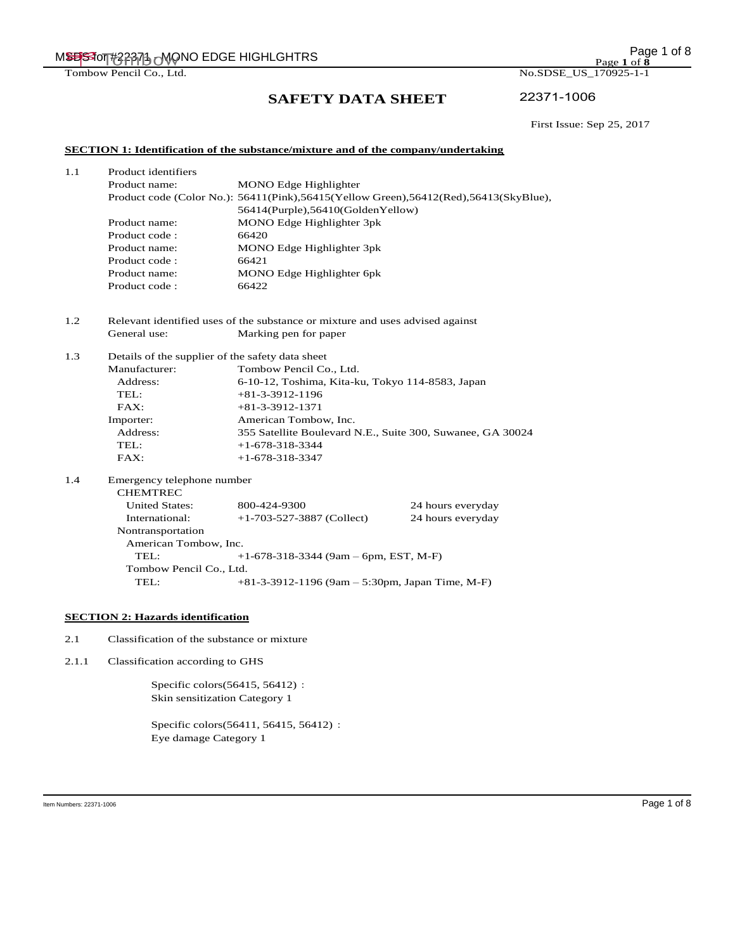MSBS for #22371 - Mono EDGE HIGHLGHTRS MEDGE FOR EXAMPLE TO A SUMBER 22371 - MSBS for the MSBS of 8

Tombow Pencil Co., Ltd. No.SDSE\_US\_170925-1-1

# **SAFETY DATA SHEET**

22371-1006

First Issue: Sep 25, 2017

# **SECTION 1: Identification of the substance/mixture and of the company/undertaking**

| 1.1<br>Product identifiers |                |                                                                                         |
|----------------------------|----------------|-----------------------------------------------------------------------------------------|
|                            | Product name:  | <b>MONO</b> Edge Highlighter                                                            |
|                            |                | Product code (Color No.): 56411(Pink), 56415(Yellow Green), 56412(Red), 56413(SkyBlue), |
|                            |                | 56414(Purple),56410(GoldenYellow)                                                       |
|                            | Product name:  | MONO Edge Highlighter 3pk                                                               |
|                            | Product code : | 66420                                                                                   |
|                            | Product name:  | MONO Edge Highlighter 3pk                                                               |
|                            | Product code:  | 66421                                                                                   |
|                            | Product name:  | MONO Edge Highlighter 6pk                                                               |
|                            | Product code:  | 66422                                                                                   |
|                            |                |                                                                                         |

1.2 Relevant identified uses of the substance or mixture and uses advised against General use: Marking pen for paper

Address: 6-10-12, Toshima, Kita-ku, Tokyo 114-8583, Japan

Address: 355 Satellite Boulevard N.E., Suite 300, Suwanee, GA 30024

# 1.4 Emergency telephone number

1.3 Details of the supplier of the safety data sheet

Manufacturer: Tombow Pencil Co., Ltd.

TEL:  $+81-3-3912-1196$  FAX: +81-3-3912-1371 Importer: American Tombow, Inc.

TEL:  $+1-678-318-3344$ FAX: +1-678-318-3347

| <b>CHEMTREC</b>                                                     |                             |                   |  |  |
|---------------------------------------------------------------------|-----------------------------|-------------------|--|--|
| <b>United States:</b>                                               | 800-424-9300                | 24 hours everyday |  |  |
| International:                                                      | $+1-703-527-3887$ (Collect) | 24 hours everyday |  |  |
| Nontransportation                                                   |                             |                   |  |  |
| American Tombow, Inc.                                               |                             |                   |  |  |
| $+1-678-318-3344$ (9am – 6pm, EST, M-F)<br>TEL                      |                             |                   |  |  |
| Tombow Pencil Co., Ltd.                                             |                             |                   |  |  |
| $+81-3-3912-1196$ (9am - 5:30pm, Japan Time, M-F)<br>$\text{TEL}$ : |                             |                   |  |  |

# **SECTION 2: Hazards identification**

2.1 Classification of the substance or mixture

2.1.1 Classification according to GHS

Specific colors(56415, 56412): Skin sensitization Category 1

Specific colors(56411, 56415, 56412): Eye damage Category 1

Page **1** of **8**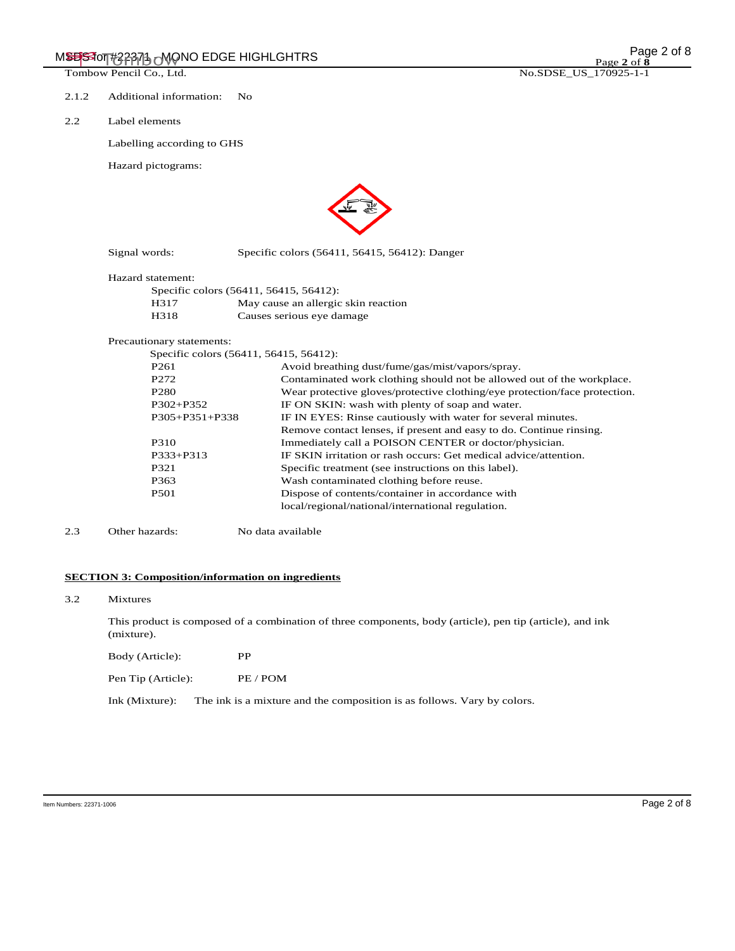- 2.1.2 Additional information: No
- 2.2 Label elements

Labelling according to GHS

Hazard pictograms:



Signal words: Specific colors (56411, 56415, 56412): Danger

#### Hazard statement:

| Specific colors (56411, 56415, 56412): |                                     |  |  |
|----------------------------------------|-------------------------------------|--|--|
| H317                                   | May cause an allergic skin reaction |  |  |
| H318                                   | Causes serious eye damage           |  |  |

#### Precautionary statements:

| Specific colors (56411, 56415, 56412): |                                                                            |  |  |
|----------------------------------------|----------------------------------------------------------------------------|--|--|
| P <sub>261</sub>                       | Avoid breathing dust/fume/gas/mist/vapors/spray.                           |  |  |
| P <sub>272</sub>                       | Contaminated work clothing should not be allowed out of the workplace.     |  |  |
| P <sub>280</sub>                       | Wear protective gloves/protective clothing/eye protection/face protection. |  |  |
| $P302 + P352$                          | IF ON SKIN: wash with plenty of soap and water.                            |  |  |
| $P305 + P351 + P338$                   | IF IN EYES: Rinse cautiously with water for several minutes.               |  |  |
|                                        | Remove contact lenses, if present and easy to do. Continue rinsing.        |  |  |
| P310                                   | Immediately call a POISON CENTER or doctor/physician.                      |  |  |
| $P333 + P313$                          | IF SKIN irritation or rash occurs: Get medical advice/attention.           |  |  |
| P321                                   | Specific treatment (see instructions on this label).                       |  |  |
| P363                                   | Wash contaminated clothing before reuse.                                   |  |  |
| P <sub>501</sub>                       | Dispose of contents/container in accordance with                           |  |  |
|                                        | local/regional/national/international regulation.                          |  |  |
|                                        |                                                                            |  |  |

2.3 Other hazards: No data available

# **SECTION 3: Composition/information on ingredients**

#### 3.2 Mixtures

This product is composed of a combination of three components, body (article), pen tip (article), and ink (mixture).

Body (Article): PP

Pen Tip (Article): PE / POM

Ink (Mixture): The ink is a mixture and the composition is as follows. Vary by colors.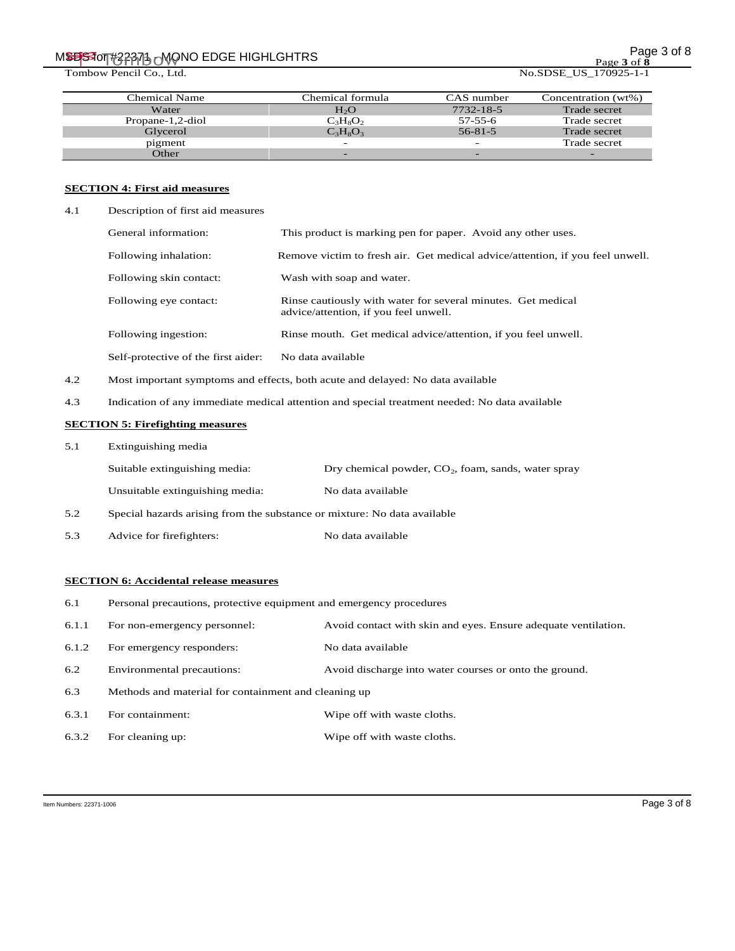# MSBS for #22371 - MSBS for #22371 - MSBS for #22371 - MSBS for #22371 - MSBS for #22371 - MSBS for 8

Tombow Pencil Co., Ltd. No.SDSE\_US\_170925-1-1

Page **3** of **8**

| Chemical Name    | Chemical formula | CAS number               | Concentration (wt%) |
|------------------|------------------|--------------------------|---------------------|
| Water            | H <sub>2</sub> O | 7732-18-5                | Trade secret        |
| Propane-1,2-diol | $C_3H_8O_2$      | 57-55-6                  | Trade secret        |
| Glycerol         | $C_3H_8O_3$      | $56 - 81 - 5$            | Trade secret        |
| pigment          | -                | $\overline{\phantom{0}}$ | Trade secret        |
| Other            |                  |                          |                     |

# **SECTION 4: First aid measures**

| 4.1 | Description of first aid measures   |                                                                                                       |
|-----|-------------------------------------|-------------------------------------------------------------------------------------------------------|
|     | General information:                | This product is marking pen for paper. Avoid any other uses.                                          |
|     | Following inhalation:               | Remove victim to fresh air. Get medical advice/attention, if you feel unwell.                         |
|     | Following skin contact:             | Wash with soap and water.                                                                             |
|     | Following eye contact:              | Rinse cautiously with water for several minutes. Get medical<br>advice/attention, if you feel unwell. |
|     | Following ingestion:                | Rinse mouth. Get medical advice/attention, if you feel unwell.                                        |
|     | Self-protective of the first aider: | No data available                                                                                     |
|     |                                     |                                                                                                       |

- 4.2 Most important symptoms and effects, both acute and delayed: No data available
- 4.3 Indication of any immediate medical attention and special treatment needed: No data available

# **SECTION 5: Firefighting measures**

| Extinguishing media<br>5.1 |
|----------------------------|
|----------------------------|

|     | Suitable extinguishing media:                                            | Dry chemical powder, $CO2$ , foam, sands, water spray |  |
|-----|--------------------------------------------------------------------------|-------------------------------------------------------|--|
|     | Unsuitable extinguishing media:                                          | No data available                                     |  |
| 5.2 | Special hazards arising from the substance or mixture: No data available |                                                       |  |

5.3 Advice for firefighters: No data available

# **SECTION 6: Accidental release measures**

- 6.1 Personal precautions, protective equipment and emergency procedures
- 6.1.1 For non-emergency personnel: Avoid contact with skin and eyes. Ensure adequate ventilation.
- 6.1.2 For emergency responders: No data available
- 6.2 Environmental precautions: Avoid discharge into water courses or onto the ground.
- 6.3 Methods and material for containment and cleaning up
- 6.3.1 For containment: Wipe off with waste cloths.
- 6.3.2 For cleaning up: Wipe off with waste cloths.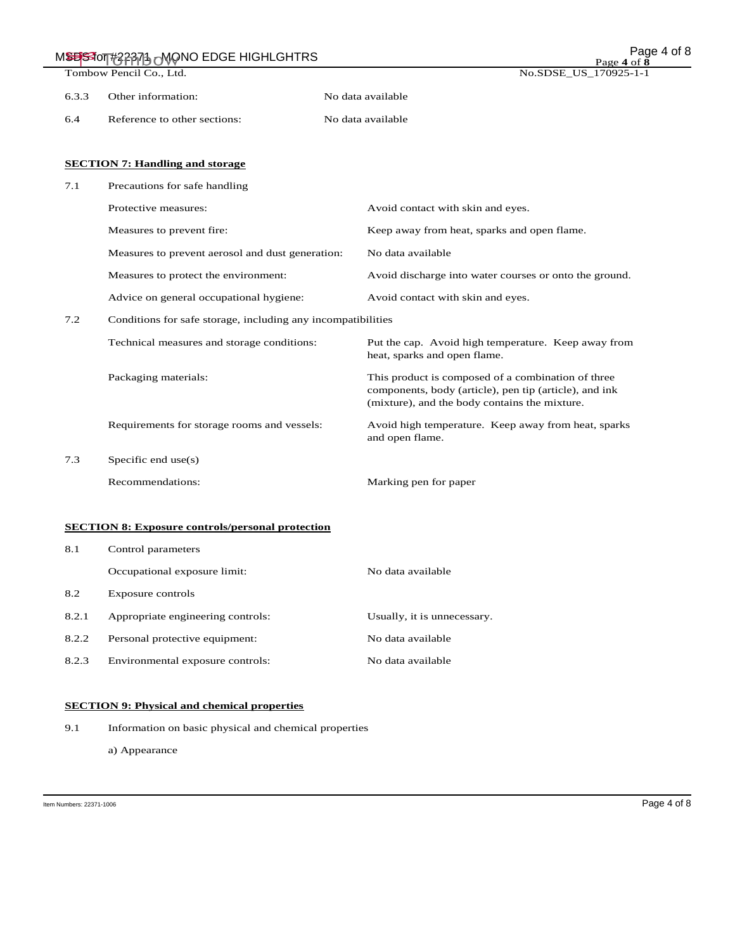|       | MSESSION#329976 MONO EDGE HIGHLGHTRS                         | Page 4 of 8<br>Page 4 of 8                                                                                                                                    |
|-------|--------------------------------------------------------------|---------------------------------------------------------------------------------------------------------------------------------------------------------------|
|       | Tombow Pencil Co., Ltd.                                      | No.SDSE_US_170925-1-1                                                                                                                                         |
| 6.3.3 | Other information:                                           | No data available                                                                                                                                             |
| 6.4   | Reference to other sections:                                 | No data available                                                                                                                                             |
|       | <b>SECTION 7: Handling and storage</b>                       |                                                                                                                                                               |
| 7.1   | Precautions for safe handling                                |                                                                                                                                                               |
|       | Protective measures:                                         | Avoid contact with skin and eyes.                                                                                                                             |
|       | Measures to prevent fire:                                    | Keep away from heat, sparks and open flame.                                                                                                                   |
|       | Measures to prevent aerosol and dust generation:             | No data available                                                                                                                                             |
|       | Measures to protect the environment:                         | Avoid discharge into water courses or onto the ground.                                                                                                        |
|       | Advice on general occupational hygiene:                      | Avoid contact with skin and eyes.                                                                                                                             |
| 7.2   | Conditions for safe storage, including any incompatibilities |                                                                                                                                                               |
|       | Technical measures and storage conditions:                   | Put the cap. Avoid high temperature. Keep away from<br>heat, sparks and open flame.                                                                           |
|       | Packaging materials:                                         | This product is composed of a combination of three<br>components, body (article), pen tip (article), and ink<br>(mixture), and the body contains the mixture. |
|       | Requirements for storage rooms and vessels:                  | Avoid high temperature. Keep away from heat, sparks<br>and open flame.                                                                                        |
| 7.3   | Specific end $use(s)$                                        |                                                                                                                                                               |
|       | Recommendations:                                             | Marking pen for paper                                                                                                                                         |
|       | <b>SECTION 8: Exposure controls/personal protection</b>      |                                                                                                                                                               |
| 8.1   | Control parameters                                           |                                                                                                                                                               |
|       | Occupational exposure limit:                                 | No data available                                                                                                                                             |
| 8.2   | Exposure controls                                            |                                                                                                                                                               |
| 8.2.1 | Appropriate engineering controls:                            | Usually, it is unnecessary.                                                                                                                                   |
| 8.2.2 | Personal protective equipment:                               | No data available                                                                                                                                             |
| 8.2.3 | Environmental exposure controls:                             | No data available                                                                                                                                             |

# **SECTION 9: Physical and chemical properties**

9.1 Information on basic physical and chemical properties

a) Appearance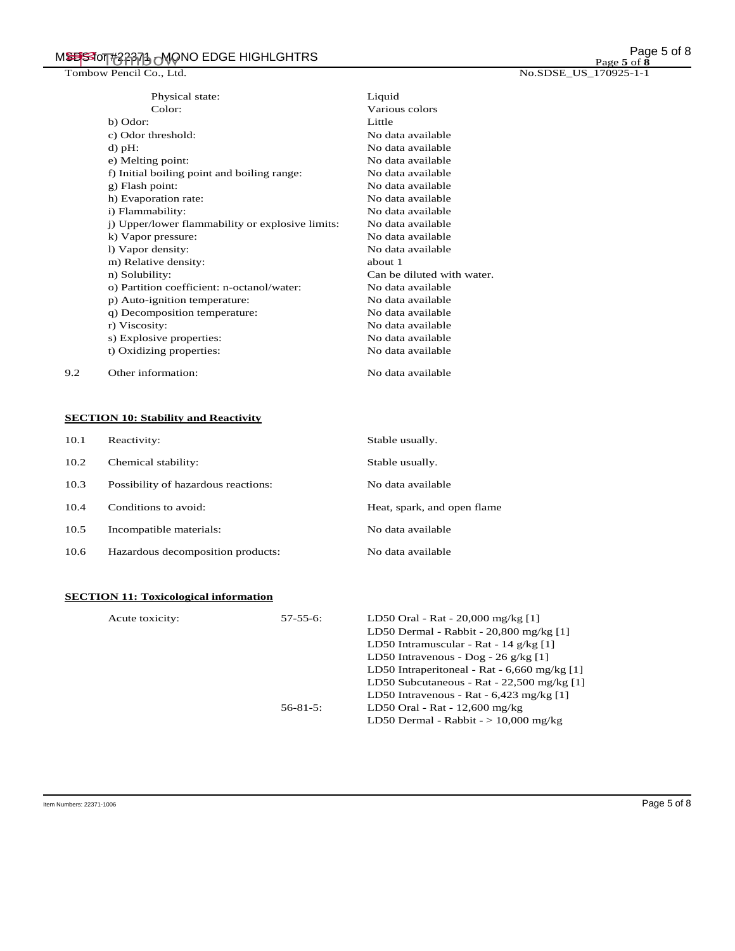|     | Physical state:                                  | Liquid                     |
|-----|--------------------------------------------------|----------------------------|
|     | Color:                                           | Various colors             |
|     | b) Odor:                                         | Little                     |
|     | c) Odor threshold:                               | No data available          |
|     | $d$ ) pH:                                        | No data available          |
|     | e) Melting point:                                | No data available          |
|     | f) Initial boiling point and boiling range:      | No data available          |
|     | g) Flash point:                                  | No data available          |
|     | h) Evaporation rate:                             | No data available          |
|     | i) Flammability:                                 | No data available          |
|     | j) Upper/lower flammability or explosive limits: | No data available          |
|     | k) Vapor pressure:                               | No data available          |
|     | 1) Vapor density:                                | No data available          |
|     | m) Relative density:                             | about 1                    |
|     | n) Solubility:                                   | Can be diluted with water. |
|     | o) Partition coefficient: n-octanol/water:       | No data available          |
|     | p) Auto-ignition temperature:                    | No data available          |
|     | q) Decomposition temperature:                    | No data available          |
|     | r) Viscosity:                                    | No data available          |
|     | s) Explosive properties:                         | No data available          |
|     | t) Oxidizing properties:                         | No data available          |
| 9.2 | Other information:                               | No data available          |

# **SECTION 10: Stability and Reactivity**

| 10.1 | Reactivity:                         | Stable usually.             |
|------|-------------------------------------|-----------------------------|
| 10.2 | Chemical stability:                 | Stable usually.             |
| 10.3 | Possibility of hazardous reactions: | No data available           |
| 10.4 | Conditions to avoid:                | Heat, spark, and open flame |
| 10.5 | Incompatible materials:             | No data available           |
| 10.6 | Hazardous decomposition products:   | No data available           |

# **SECTION 11: Toxicological information**

| Acute toxicity: | $57 - 55 - 6$ : | LD50 Oral - Rat - 20,000 mg/kg [1]                           |
|-----------------|-----------------|--------------------------------------------------------------|
|                 |                 | LD50 Dermal - Rabbit - $20,800$ mg/kg [1]                    |
|                 |                 | LD50 Intramuscular - Rat - 14 g/kg [1]                       |
|                 |                 | LD50 Intravenous - Dog - $26 \frac{\text{g}}{\text{kg}}$ [1] |
|                 |                 | LD50 Intraperitoneal - Rat - $6,660$ mg/kg [1]               |
|                 |                 | LD50 Subcutaneous - Rat - $22,500$ mg/kg [1]                 |
|                 |                 | LD50 Intravenous - Rat - $6,423$ mg/kg [1]                   |
|                 | $56 - 81 - 5$ : | LD50 Oral - Rat - $12,600$ mg/kg                             |
|                 |                 | LD50 Dermal - Rabbit - $> 10,000$ mg/kg                      |
|                 |                 |                                                              |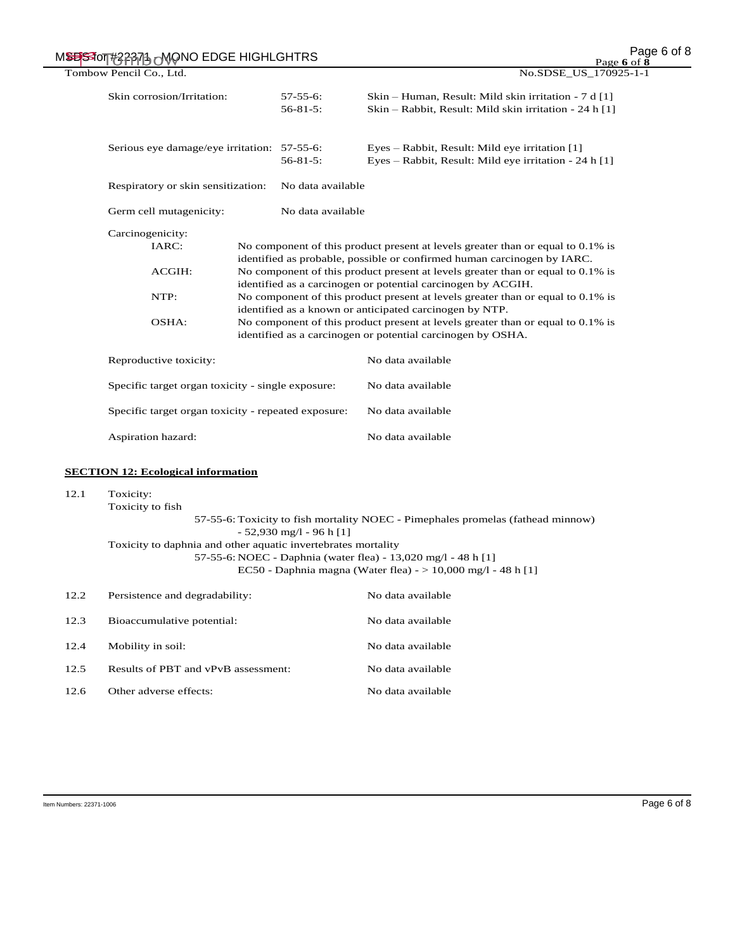| MSESSION#22371 MONO EDGE HIGHLGHTRS |                                                                                                                                                                                                  |                                    | Page 6 of 8<br>Page 6 of $\bar{8}$                                                                                                                         |  |
|-------------------------------------|--------------------------------------------------------------------------------------------------------------------------------------------------------------------------------------------------|------------------------------------|------------------------------------------------------------------------------------------------------------------------------------------------------------|--|
| Tombow Pencil Co., Ltd.             |                                                                                                                                                                                                  |                                    | No.SDSE_US_170925-1-1                                                                                                                                      |  |
|                                     | Skin corrosion/Irritation:                                                                                                                                                                       | $57 - 55 - 6$ :<br>$56 - 81 - 5$ : | Skin – Human, Result: Mild skin irritation - 7 d [1]<br>Skin – Rabbit, Result: Mild skin irritation - 24 h [1]                                             |  |
|                                     | Serious eye damage/eye irritation: 57-55-6:                                                                                                                                                      | $56 - 81 - 5$ :                    | Eyes – Rabbit, Result: Mild eye irritation [1]<br>Eyes – Rabbit, Result: Mild eye irritation - 24 h [1]                                                    |  |
|                                     | Respiratory or skin sensitization:<br>No data available                                                                                                                                          |                                    |                                                                                                                                                            |  |
|                                     | Germ cell mutagenicity:                                                                                                                                                                          | No data available                  |                                                                                                                                                            |  |
|                                     | Carcinogenicity:                                                                                                                                                                                 |                                    |                                                                                                                                                            |  |
|                                     | IARC:                                                                                                                                                                                            |                                    | No component of this product present at levels greater than or equal to 0.1% is<br>identified as probable, possible or confirmed human carcinogen by IARC. |  |
|                                     | ACGIH:<br>identified as a carcinogen or potential carcinogen by ACGIH.<br>NTP:                                                                                                                   |                                    | No component of this product present at levels greater than or equal to 0.1% is                                                                            |  |
|                                     |                                                                                                                                                                                                  |                                    | No component of this product present at levels greater than or equal to 0.1% is<br>identified as a known or anticipated carcinogen by NTP.                 |  |
|                                     | OSHA:                                                                                                                                                                                            |                                    | No component of this product present at levels greater than or equal to 0.1% is<br>identified as a carcinogen or potential carcinogen by OSHA.             |  |
|                                     | Reproductive toxicity:                                                                                                                                                                           |                                    | No data available                                                                                                                                          |  |
|                                     | Specific target organ toxicity - single exposure:                                                                                                                                                |                                    | No data available                                                                                                                                          |  |
|                                     | Specific target organ toxicity - repeated exposure:                                                                                                                                              |                                    | No data available                                                                                                                                          |  |
|                                     | Aspiration hazard:                                                                                                                                                                               |                                    | No data available                                                                                                                                          |  |
|                                     | <b>SECTION 12: Ecological information</b>                                                                                                                                                        |                                    |                                                                                                                                                            |  |
| 12.1                                | Toxicity:                                                                                                                                                                                        |                                    |                                                                                                                                                            |  |
|                                     | Toxicity to fish<br>$-52,930$ mg/l $-96$ h [1]                                                                                                                                                   |                                    | 57-55-6: Toxicity to fish mortality NOEC - Pimephales promelas (fathead minnow)                                                                            |  |
|                                     | Toxicity to daphnia and other aquatic invertebrates mortality<br>57-55-6: NOEC - Daphnia (water flea) - 13,020 mg/l - 48 h [1]<br>EC50 - Daphnia magna (Water flea) - $> 10,000$ mg/l - 48 h [1] |                                    |                                                                                                                                                            |  |
| 12.2                                | Persistence and degradability:                                                                                                                                                                   |                                    | No data available                                                                                                                                          |  |
| 12.3                                | Bioaccumulative potential:                                                                                                                                                                       |                                    | No data available                                                                                                                                          |  |
| 12.4                                | Mobility in soil:                                                                                                                                                                                |                                    | No data available                                                                                                                                          |  |
| 12.5                                | Results of PBT and vPvB assessment:                                                                                                                                                              |                                    | No data available                                                                                                                                          |  |
| 12.6                                | Other adverse effects:                                                                                                                                                                           |                                    | No data available                                                                                                                                          |  |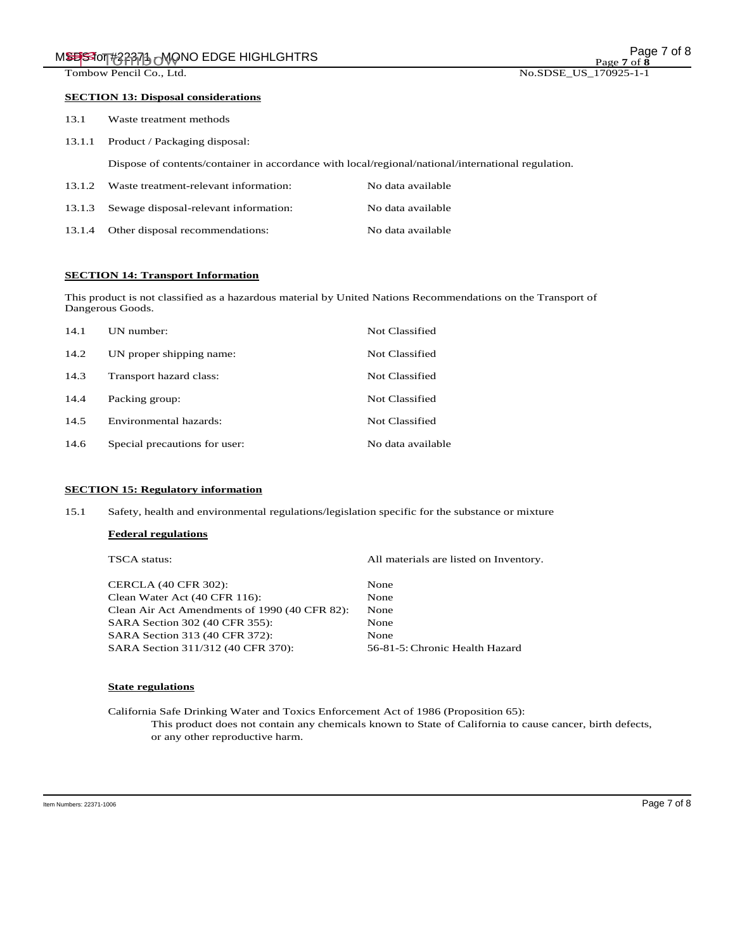### **SECTION 13: Disposal considerations**

| 13.1   | Waste treatment methods                                                                            |                   |
|--------|----------------------------------------------------------------------------------------------------|-------------------|
|        | 13.1.1 Product / Packaging disposal:                                                               |                   |
|        | Dispose of contents/container in accordance with local/regional/national/international regulation. |                   |
| 13.1.2 | Waste treatment-relevant information:                                                              | No data available |

| 13.1.3 Sewage disposal-relevant information: | No data available |
|----------------------------------------------|-------------------|
| 13.1.4 Other disposal recommendations:       | No data available |

# **SECTION 14: Transport Information**

This product is not classified as a hazardous material by United Nations Recommendations on the Transport of Dangerous Goods.

| 14.1 | UN number:                    | Not Classified    |
|------|-------------------------------|-------------------|
| 14.2 | UN proper shipping name:      | Not Classified    |
| 14.3 | Transport hazard class:       | Not Classified    |
| 14.4 | Packing group:                | Not Classified    |
| 14.5 | Environmental hazards:        | Not Classified    |
| 14.6 | Special precautions for user: | No data available |

# **SECTION 15: Regulatory information**

15.1 Safety, health and environmental regulations/legislation specific for the substance or mixture

## **Federal regulations**

TSCA status: All materials are listed on Inventory.

| <b>CERCLA (40 CFR 302):</b>                   | None                           |
|-----------------------------------------------|--------------------------------|
| Clean Water Act (40 CFR 116):                 | None                           |
| Clean Air Act Amendments of 1990 (40 CFR 82): | None                           |
| SARA Section 302 (40 CFR 355):                | None                           |
| SARA Section 313 (40 CFR 372):                | None                           |
| SARA Section 311/312 (40 CFR 370):            | 56-81-5: Chronic Health Hazard |

# **State regulations**

California Safe Drinking Water and Toxics Enforcement Act of 1986 (Proposition 65): This product does not contain any chemicals known to State of California to cause cancer, birth defects, or any other reproductive harm.